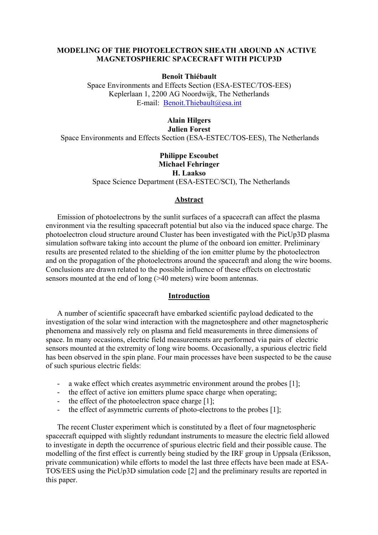# **MODELING OF THE PHOTOELECTRON SHEATH AROUND AN ACTIVE MAGNETOSPHERIC SPACECRAFT WITH PICUP3D**

### **Benoît Thiébault**

Space Environments and Effects Section (ESA-ESTEC/TOS-EES) Keplerlaan 1, 2200 AG Noordwijk, The Netherlands E-mail: [Benoit.Thiebault@esa.int](mailto:Benoit.Thiebault@esa.int)

# **Alain Hilgers**

**Julien Forest** 

Space Environments and Effects Section (ESA-ESTEC/TOS-EES), The Netherlands

# **Philippe Escoubet Michael Fehringer**

**H. Laakso** Space Science Department (ESA-ESTEC/SCI), The Netherlands

# **Abstract**

Emission of photoelectrons by the sunlit surfaces of a spacecraft can affect the plasma environment via the resulting spacecraft potential but also via the induced space charge. The photoelectron cloud structure around Cluster has been investigated with the PicUp3D plasma simulation software taking into account the plume of the onboard ion emitter. Preliminary results are presented related to the shielding of the ion emitter plume by the photoelectron and on the propagation of the photoelectrons around the spacecraft and along the wire booms. Conclusions are drawn related to the possible influence of these effects on electrostatic sensors mounted at the end of long (>40 meters) wire boom antennas.

## **Introduction**

A number of scientific spacecraft have embarked scientific payload dedicated to the investigation of the solar wind interaction with the magnetosphere and other magnetospheric phenomena and massively rely on plasma and field measurements in three dimensions of space. In many occasions, electric field measurements are performed via pairs of electric sensors mounted at the extremity of long wire booms. Occasionally, a spurious electric field has been observed in the spin plane. Four main processes have been suspected to be the cause of such spurious electric fields:

- a wake effect which creates asymmetric environment around the probes [1];
- the effect of active ion emitters plume space charge when operating;
- the effect of the photoelectron space charge [1]:
- the effect of asymmetric currents of photo-electrons to the probes [1];

The recent Cluster experiment which is constituted by a fleet of four magnetospheric spacecraft equipped with slightly redundant instruments to measure the electric field allowed to investigate in depth the occurrence of spurious electric field and their possible cause. The modelling of the first effect is currently being studied by the IRF group in Uppsala (Eriksson, private communication) while efforts to model the last three effects have been made at ESA-TOS/EES using the PicUp3D simulation code [2] and the preliminary results are reported in this paper.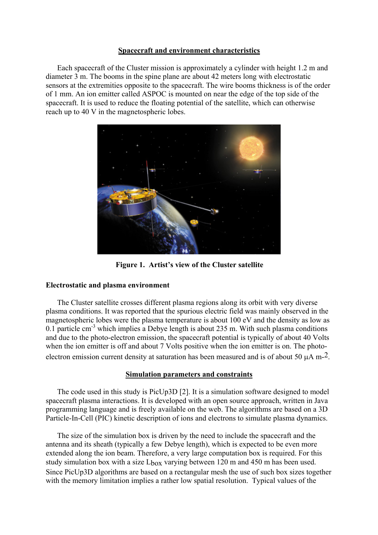## **Spacecraft and environment characteristics**

Each spacecraft of the Cluster mission is approximately a cylinder with height 1.2 m and diameter 3 m. The booms in the spine plane are about 42 meters long with electrostatic sensors at the extremities opposite to the spacecraft. The wire booms thickness is of the order of 1 mm. An ion emitter called ASPOC is mounted on near the edge of the top side of the spacecraft. It is used to reduce the floating potential of the satellite, which can otherwise reach up to 40 V in the magnetospheric lobes.



**Figure 1. Artist's view of the Cluster satellite** 

# **Electrostatic and plasma environment**

The Cluster satellite crosses different plasma regions along its orbit with very diverse plasma conditions. It was reported that the spurious electric field was mainly observed in the magnetospheric lobes were the plasma temperature is about 100 eV and the density as low as 0.1 particle cm<sup>-3</sup> which implies a Debye length is about 235 m. With such plasma conditions and due to the photo-electron emission, the spacecraft potential is typically of about 40 Volts when the ion emitter is off and about 7 Volts positive when the ion emitter is on. The photoelectron emission current density at saturation has been measured and is of about 50  $\mu$ A m-<sup>2</sup>.

# **Simulation parameters and constraints**

The code used in this study is PicUp3D [2]. It is a simulation software designed to model spacecraft plasma interactions. It is developed with an open source approach, written in Java programming language and is freely available on the web. The algorithms are based on a 3D Particle-In-Cell (PIC) kinetic description of ions and electrons to simulate plasma dynamics.

The size of the simulation box is driven by the need to include the spacecraft and the antenna and its sheath (typically a few Debye length), which is expected to be even more extended along the ion beam. Therefore, a very large computation box is required. For this study simulation box with a size  $L_{box}$  varying between 120 m and 450 m has been used. Since PicUp3D algorithms are based on a rectangular mesh the use of such box sizes together with the memory limitation implies a rather low spatial resolution. Typical values of the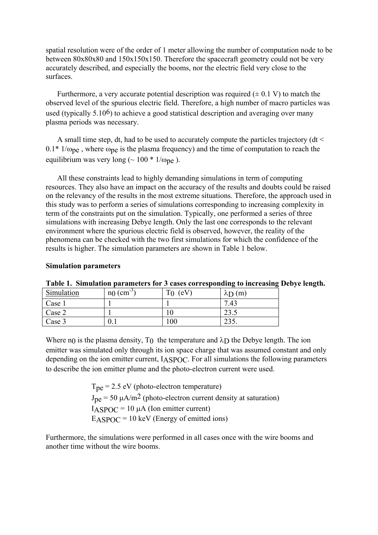spatial resolution were of the order of 1 meter allowing the number of computation node to be between 80x80x80 and 150x150x150. Therefore the spacecraft geometry could not be very accurately described, and especially the booms, nor the electric field very close to the surfaces.

Furthermore, a very accurate potential description was required  $(\pm 0.1 \text{ V})$  to match the observed level of the spurious electric field. Therefore, a high number of macro particles was used (typically  $5.10<sup>6</sup>$ ) to achieve a good statistical description and averaging over many plasma periods was necessary.

A small time step, dt, had to be used to accurately compute the particles trajectory (dt <  $0.1*1/\omega_{\text{pe}}$ , where  $\omega_{\text{pe}}$  is the plasma frequency) and the time of computation to reach the equilibrium was very long ( $\sim 100 * 1/\omega_{\text{pe}}$ ).

All these constraints lead to highly demanding simulations in term of computing resources. They also have an impact on the accuracy of the results and doubts could be raised on the relevancy of the results in the most extreme situations. Therefore, the approach used in this study was to perform a series of simulations corresponding to increasing complexity in term of the constraints put on the simulation. Typically, one performed a series of three simulations with increasing Debye length. Only the last one corresponds to the relevant environment where the spurious electric field is observed, however, the reality of the phenomena can be checked with the two first simulations for which the confidence of the results is higher. The simulation parameters are shown in Table 1 below.

### **Simulation parameters**

| Simulation | $n_{0}$ (cm <sup>-3</sup> ) | $T_0$ (eV) | $\lambda$ D $(m)$ |
|------------|-----------------------------|------------|-------------------|
| Case 1     |                             |            | 7.43              |
| Case 2     |                             |            | 23.5              |
| Case 3     | U.I                         | 100        | 235.              |

**Table 1. Simulation parameters for 3 cases corresponding to increasing Debye length.** 

Where n<sub>0</sub> is the plasma density,  $T_0$  the temperature and  $\lambda_D$  the Debye length. The ion emitter was simulated only through its ion space charge that was assumed constant and only depending on the ion emitter current, IASPOC. For all simulations the following parameters to describe the ion emitter plume and the photo-electron current were used.

> $T_{\text{pe}}$  = 2.5 eV (photo-electron temperature)  $J_{\text{pe}}$  = 50  $\mu$ A/m<sup>2</sup> (photo-electron current density at saturation)  $I_{\text{ASPOC}} = 10 \mu\text{A}$  (Ion emitter current)  $EASPOC = 10$  keV (Energy of emitted ions)

Furthermore, the simulations were performed in all cases once with the wire booms and another time without the wire booms.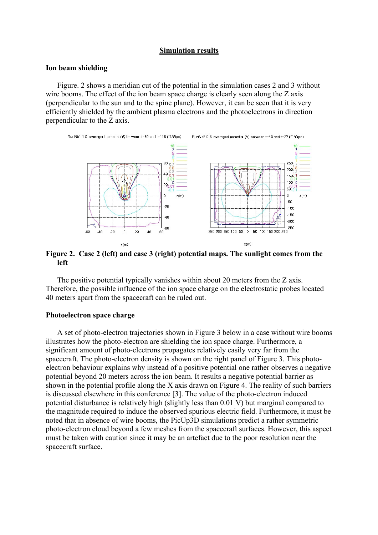### **Simulation results**

#### **Ion beam shielding**

Figure. 2 shows a meridian cut of the potential in the simulation cases 2 and 3 without wire booms. The effect of the ion beam space charge is clearly seen along the Z axis (perpendicular to the sun and to the spine plane). However, it can be seen that it is very efficiently shielded by the ambient plasma electrons and the photoelectrons in direction perpendicular to the Z axis.



**Figure 2. Case 2 (left) and case 3 (right) potential maps. The sunlight comes from the left** 

The positive potential typically vanishes within about 20 meters from the Z axis. Therefore, the possible influence of the ion space charge on the electrostatic probes located 40 meters apart from the spacecraft can be ruled out.

#### **Photoelectron space charge**

A set of photo-electron trajectories shown in Figure 3 below in a case without wire booms illustrates how the photo-electron are shielding the ion space charge. Furthermore, a significant amount of photo-electrons propagates relatively easily very far from the spacecraft. The photo-electron density is shown on the right panel of Figure 3. This photoelectron behaviour explains why instead of a positive potential one rather observes a negative potential beyond 20 meters across the ion beam. It results a negative potential barrier as shown in the potential profile along the X axis drawn on Figure 4. The reality of such barriers is discussed elsewhere in this conference [3]. The value of the photo-electron induced potential disturbance is relatively high (slightly less than 0.01 V) but marginal compared to the magnitude required to induce the observed spurious electric field. Furthermore, it must be noted that in absence of wire booms, the PicUp3D simulations predict a rather symmetric photo-electron cloud beyond a few meshes from the spacecraft surfaces. However, this aspect must be taken with caution since it may be an artefact due to the poor resolution near the spacecraft surface.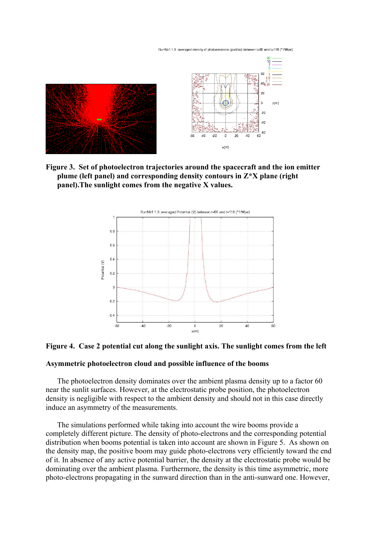RunNb1.1.0: averaged density of photoelectrons (part/cc) between t=60 and t=118 (\*1/Wpe)



**Figure 3. Set of photoelectron trajectories around the spacecraft and the ion emitter plume (left panel) and corresponding density contours in Z\*X plane (right panel).The sunlight comes from the negative X values.** 



#### **Figure 4. Case 2 potential cut along the sunlight axis. The sunlight comes from the left**

#### **Asymmetric photoelectron cloud and possible influence of the booms**

The photoelectron density dominates over the ambient plasma density up to a factor 60 near the sunlit surfaces. However, at the electrostatic probe position, the photoelectron density is negligible with respect to the ambient density and should not in this case directly induce an asymmetry of the measurements.

The simulations performed while taking into account the wire booms provide a completely different picture. The density of photo-electrons and the corresponding potential distribution when booms potential is taken into account are shown in Figure 5. As shown on the density map, the positive boom may guide photo-electrons very efficiently toward the end of it. In absence of any active potential barrier, the density at the electrostatic probe would be dominating over the ambient plasma. Furthermore, the density is this time asymmetric, more photo-electrons propagating in the sunward direction than in the anti-sunward one. However,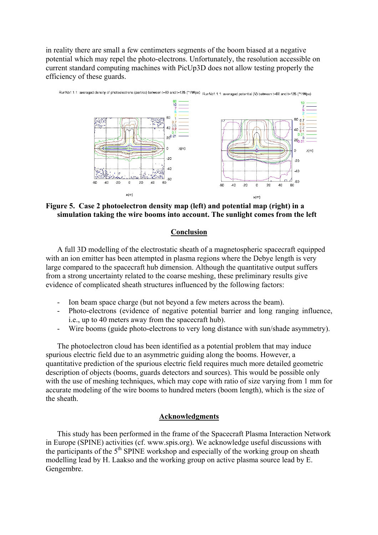in reality there are small a few centimeters segments of the boom biased at a negative potential which may repel the photo-electrons. Unfortunately, the resolution accessible on current standard computing machines with PicUp3D does not allow testing properly the efficiency of these guards.



**Figure 5. Case 2 photoelectron density map (left) and potential map (right) in a simulation taking the wire booms into account. The sunlight comes from the left** 

### **Conclusion**

A full 3D modelling of the electrostatic sheath of a magnetospheric spacecraft equipped with an ion emitter has been attempted in plasma regions where the Debye length is very large compared to the spacecraft hub dimension. Although the quantitative output suffers from a strong uncertainty related to the coarse meshing, these preliminary results give evidence of complicated sheath structures influenced by the following factors:

- Ion beam space charge (but not beyond a few meters across the beam).
- Photo-electrons (evidence of negative potential barrier and long ranging influence, i.e., up to 40 meters away from the spacecraft hub).
- Wire booms (guide photo-electrons to very long distance with sun/shade asymmetry).

The photoelectron cloud has been identified as a potential problem that may induce spurious electric field due to an asymmetric guiding along the booms. However, a quantitative prediction of the spurious electric field requires much more detailed geometric description of objects (booms, guards detectors and sources). This would be possible only with the use of meshing techniques, which may cope with ratio of size varying from 1 mm for accurate modeling of the wire booms to hundred meters (boom length), which is the size of the sheath.

### **Acknowledgments**

This study has been performed in the frame of the Spacecraft Plasma Interaction Network in Europe (SPINE) activities (cf. www.spis.org). We acknowledge useful discussions with the participants of the  $5<sup>th</sup>$  SPINE workshop and especially of the working group on sheath modelling lead by H. Laakso and the working group on active plasma source lead by E. Gengembre.